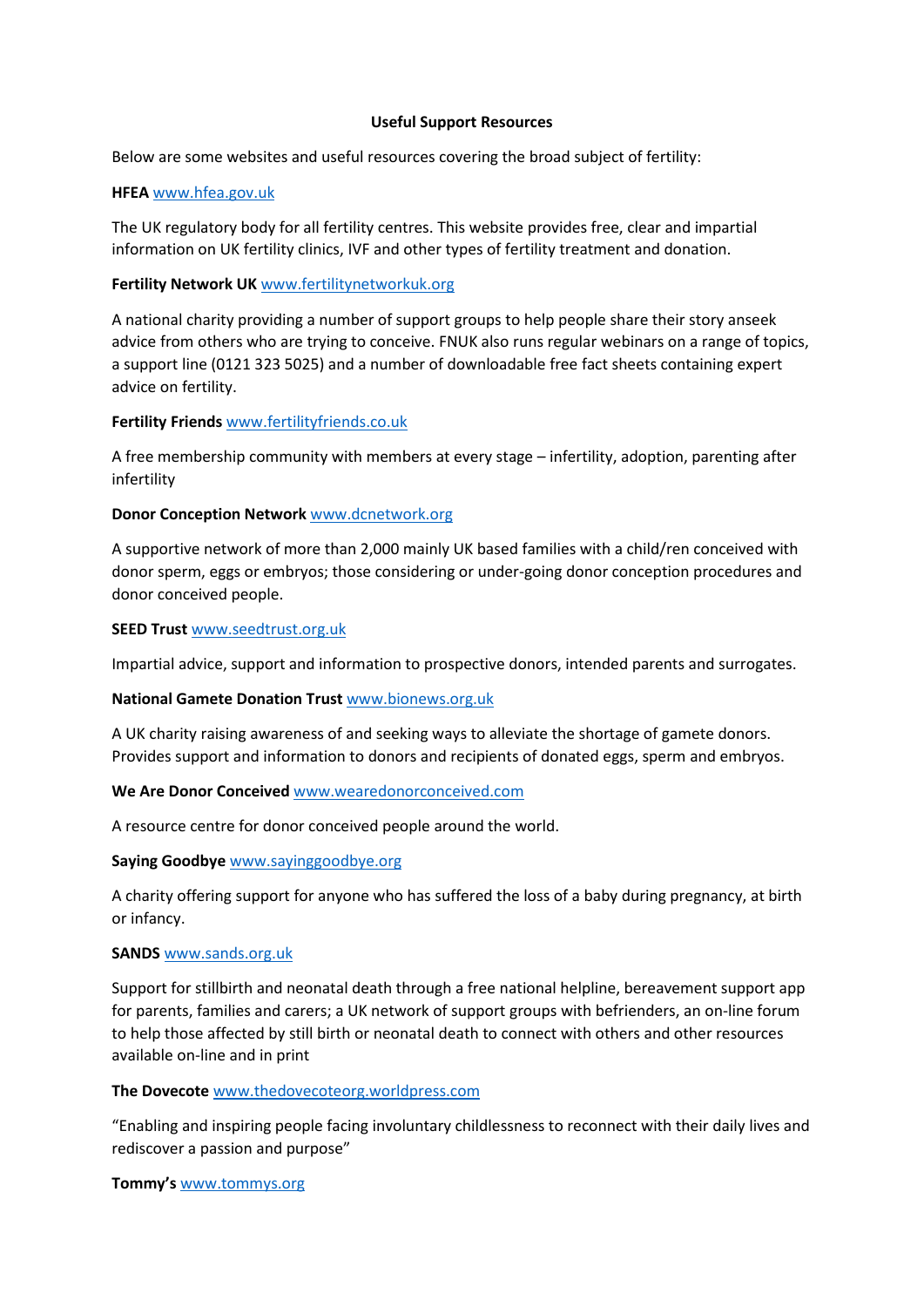#### **Useful Support Resources**

Below are some websites and useful resources covering the broad subject of fertility:

#### **HFEA** [www.hfea.gov.uk](http://www.hfea.gov.uk/)

The UK regulatory body for all fertility centres. This website provides free, clear and impartial information on UK fertility clinics, IVF and other types of fertility treatment and donation.

## **Fertility Network UK** [www.fertilitynetworkuk.org](http://www.fertilitynetworkuk.org/)

A national charity providing a number of support groups to help people share their story anseek advice from others who are trying to conceive. FNUK also runs regular webinars on a range of topics, a support line (0121 323 5025) and a number of downloadable free fact sheets containing expert advice on fertility.

# **Fertility Friends** [www.fertilityfriends.co.uk](http://www.fertilityfriends.co.uk/)

A free membership community with members at every stage – infertility, adoption, parenting after infertility

## **Donor Conception Network** [www.dcnetwork.org](http://www.dcnetwork.org/)

A supportive network of more than 2,000 mainly UK based families with a child/ren conceived with donor sperm, eggs or embryos; those considering or under-going donor conception procedures and donor conceived people.

#### **SEED Trust** [www.seedtrust.org.uk](http://www.seedtrust.org.uk/)

Impartial advice, support and information to prospective donors, intended parents and surrogates.

#### **National Gamete Donation Trust** [www.bionews.org.uk](http://www.bionews.org.uk/)

A UK charity raising awareness of and seeking ways to alleviate the shortage of gamete donors. Provides support and information to donors and recipients of donated eggs, sperm and embryos.

# **We Are Donor Conceived** [www.wearedonorconceived.com](http://www.wearedonorconceived.com/)

A resource centre for donor conceived people around the world.

#### **Saying Goodbye** [www.sayinggoodbye.org](http://www.sayinggoodbye.org/)

A charity offering support for anyone who has suffered the loss of a baby during pregnancy, at birth or infancy.

#### **SANDS** [www.sands.org.uk](http://www.sands.org.uk/)

Support for stillbirth and neonatal death through a free national helpline, bereavement support app for parents, families and carers; a UK network of support groups with befrienders, an on-line forum to help those affected by still birth or neonatal death to connect with others and other resources available on-line and in print

#### **The Dovecote** [www.thedovecoteorg.worldpress.com](http://www.thedovecoteorg.worldpress.com/)

"Enabling and inspiring people facing involuntary childlessness to reconnect with their daily lives and rediscover a passion and purpose"

#### **Tommy's** [www.tommys.org](http://www.tommys.org/)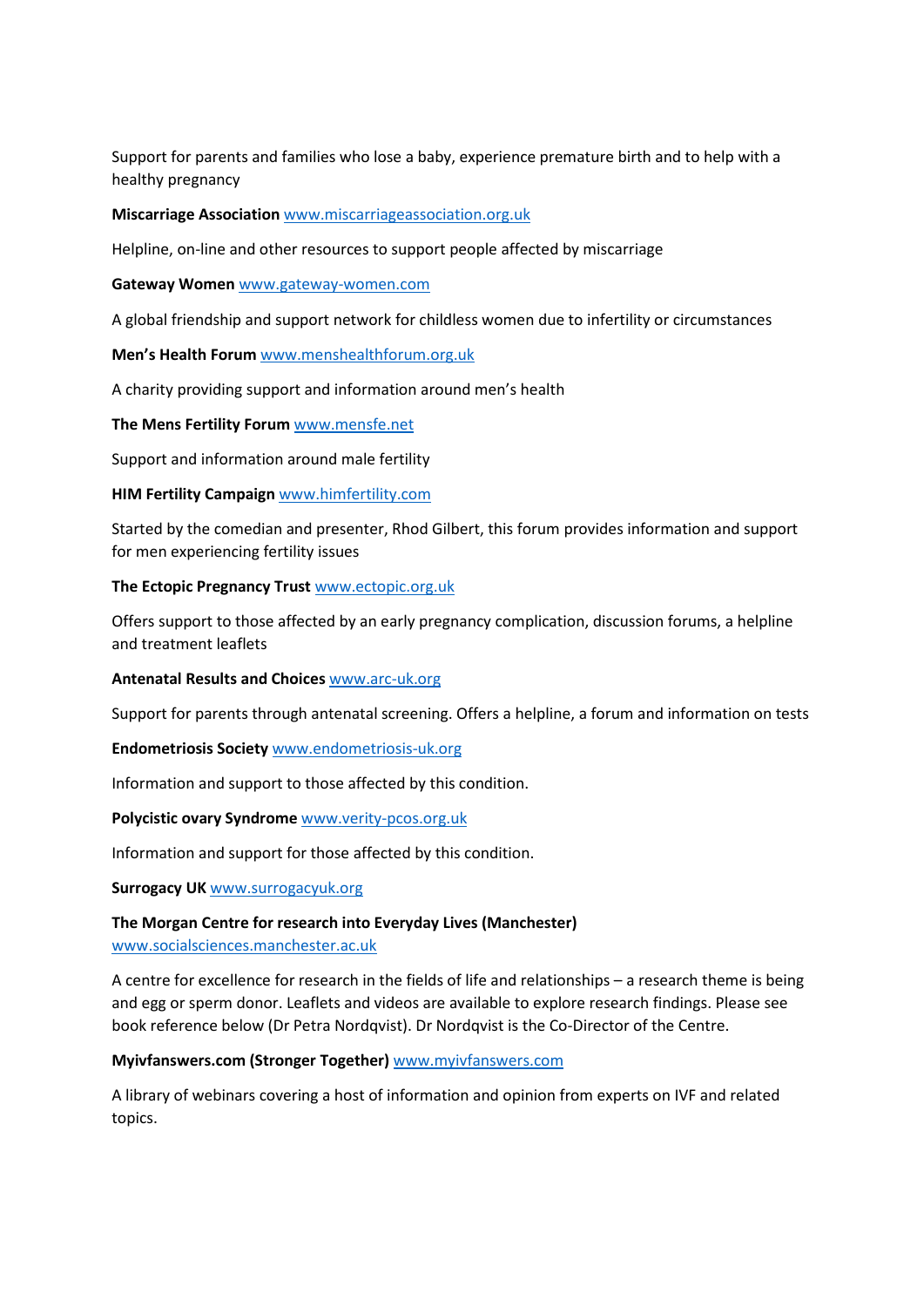Support for parents and families who lose a baby, experience premature birth and to help with a healthy pregnancy

### **Miscarriage Association** [www.miscarriageassociation.org.uk](http://www.miscarriageassociation.org.uk/)

Helpline, on-line and other resources to support people affected by miscarriage

#### **Gateway Women** [www.gateway-women.com](http://www.gateway-women.com/)

A global friendship and support network for childless women due to infertility or circumstances

## **Men's Health Forum** [www.menshealthforum.org.uk](http://www.menshealthforum.org.uk/)

A charity providing support and information around men's health

## **The Mens Fertility Forum** [www.mensfe.net](http://www.mensfe.net/)

Support and information around male fertility

## **HIM Fertility Campaign** [www.himfertility.com](http://www.himfertility.com/)

Started by the comedian and presenter, Rhod Gilbert, this forum provides information and support for men experiencing fertility issues

## **The Ectopic Pregnancy Trust** [www.ectopic.org.uk](http://www.ectopic.org.uk/)

Offers support to those affected by an early pregnancy complication, discussion forums, a helpline and treatment leaflets

#### **Antenatal Results and Choices** [www.arc-uk.org](http://www.arc-uk.org/)

Support for parents through antenatal screening. Offers a helpline, a forum and information on tests

#### **Endometriosis Society** [www.endometriosis-uk.org](http://www.endometriosis-uk.org/)

Information and support to those affected by this condition.

#### **Polycistic ovary Syndrome** [www.verity-pcos.org.uk](http://www.verity-pcos.org.uk/)

Information and support for those affected by this condition.

#### **Surrogacy UK** [www.surrogacyuk.org](http://www.surrogacyuk.org/)

## **The Morgan Centre for research into Everyday Lives (Manchester)**  [www.socialsciences.manchester.ac.uk](http://www.socialsciences.manchester.ac.uk/)

A centre for excellence for research in the fields of life and relationships – a research theme is being and egg or sperm donor. Leaflets and videos are available to explore research findings. Please see book reference below (Dr Petra Nordqvist). Dr Nordqvist is the Co-Director of the Centre.

# **Myivfanswers.com (Stronger Together)** [www.myivfanswers.com](http://www.myivfanswers.com/)

A library of webinars covering a host of information and opinion from experts on IVF and related topics.